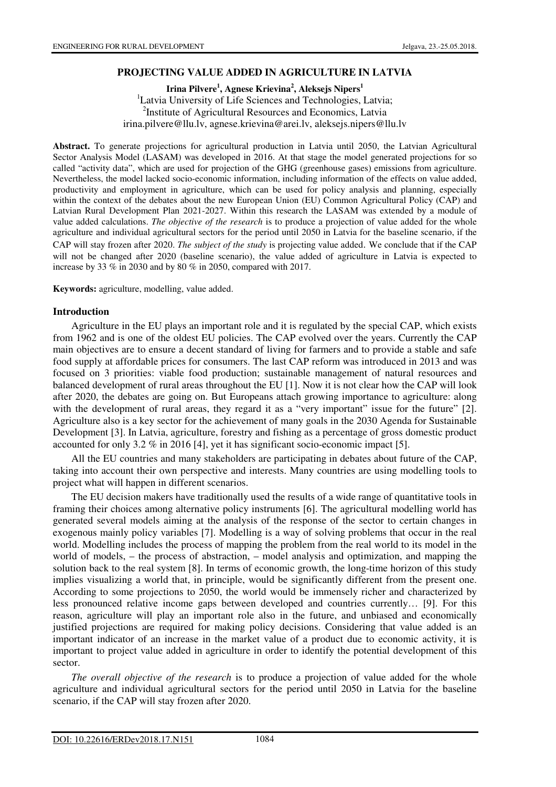## **PROJECTING VALUE ADDED IN AGRICULTURE IN LATVIA**

**Irina Pilvere<sup>1</sup> , Agnese Krievina<sup>2</sup> , Aleksejs Nipers<sup>1</sup>** <sup>1</sup>Latvia University of Life Sciences and Technologies, Latvia; <sup>2</sup>Institute of Agricultural Resources and Economics, Latvia irina.pilvere@llu.lv, agnese.krievina@arei.lv, aleksejs.nipers@llu.lv

**Abstract.** To generate projections for agricultural production in Latvia until 2050, the Latvian Agricultural Sector Analysis Model (LASAM) was developed in 2016. At that stage the model generated projections for so called "activity data", which are used for projection of the GHG (greenhouse gases) emissions from agriculture. Nevertheless, the model lacked socio-economic information, including information of the effects on value added, productivity and employment in agriculture, which can be used for policy analysis and planning, especially within the context of the debates about the new European Union (EU) Common Agricultural Policy (CAP) and Latvian Rural Development Plan 2021-2027. Within this research the LASAM was extended by a module of value added calculations. *The objective of the research* is to produce a projection of value added for the whole agriculture and individual agricultural sectors for the period until 2050 in Latvia for the baseline scenario, if the CAP will stay frozen after 2020. *The subject of the study* is projecting value added. We conclude that if the CAP will not be changed after 2020 (baseline scenario), the value added of agriculture in Latvia is expected to increase by 33 % in 2030 and by 80 % in 2050, compared with 2017.

**Keywords:** agriculture, modelling, value added.

#### **Introduction**

Agriculture in the EU plays an important role and it is regulated by the special CAP, which exists from 1962 and is one of the oldest EU policies. The CAP evolved over the years. Currently the CAP main objectives are to ensure a decent standard of living for farmers and to provide a stable and safe food supply at affordable prices for consumers. The last CAP reform was introduced in 2013 and was focused on 3 priorities: viable food production; sustainable management of natural resources and balanced development of rural areas throughout the EU [1]. Now it is not clear how the CAP will look after 2020, the debates are going on. But Europeans attach growing importance to agriculture: along with the development of rural areas, they regard it as a "very important" issue for the future" [2]. Agriculture also is a key sector for the achievement of many goals in the 2030 Agenda for Sustainable Development [3]. In Latvia, agriculture, forestry and fishing as a percentage of gross domestic product accounted for only 3.2 % in 2016 [4], yet it has significant socio-economic impact [5].

All the EU countries and many stakeholders are participating in debates about future of the CAP, taking into account their own perspective and interests. Many countries are using modelling tools to project what will happen in different scenarios.

The EU decision makers have traditionally used the results of a wide range of quantitative tools in framing their choices among alternative policy instruments [6]. The agricultural modelling world has generated several models aiming at the analysis of the response of the sector to certain changes in exogenous mainly policy variables [7]. Modelling is a way of solving problems that occur in the real world. Modelling includes the process of mapping the problem from the real world to its model in the world of models, – the process of abstraction, – model analysis and optimization, and mapping the solution back to the real system [8]. In terms of economic growth, the long-time horizon of this study implies visualizing a world that, in principle, would be significantly different from the present one. According to some projections to 2050, the world would be immensely richer and characterized by less pronounced relative income gaps between developed and countries currently… [9]. For this reason, agriculture will play an important role also in the future, and unbiased and economically justified projections are required for making policy decisions. Considering that value added is an important indicator of an increase in the market value of a product due to economic activity, it is important to project value added in agriculture in order to identify the potential development of this sector.

*The overall objective of the research* is to produce a projection of value added for the whole agriculture and individual agricultural sectors for the period until 2050 in Latvia for the baseline scenario, if the CAP will stay frozen after 2020.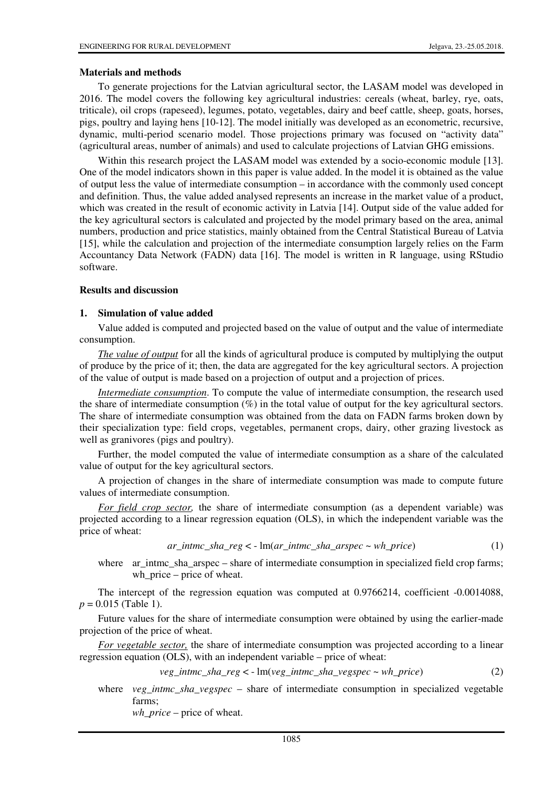#### **Materials and methods**

To generate projections for the Latvian agricultural sector, the LASAM model was developed in 2016. The model covers the following key agricultural industries: cereals (wheat, barley, rye, oats, triticale), oil crops (rapeseed), legumes, potato, vegetables, dairy and beef cattle, sheep, goats, horses, pigs, poultry and laying hens [10-12]. The model initially was developed as an econometric, recursive, dynamic, multi-period scenario model. Those projections primary was focused on "activity data" (agricultural areas, number of animals) and used to calculate projections of Latvian GHG emissions.

Within this research project the LASAM model was extended by a socio-economic module [13]. One of the model indicators shown in this paper is value added. In the model it is obtained as the value of output less the value of intermediate consumption – in accordance with the commonly used concept and definition. Thus, the value added analysed represents an increase in the market value of a product, which was created in the result of economic activity in Latvia [14]. Output side of the value added for the key agricultural sectors is calculated and projected by the model primary based on the area, animal numbers, production and price statistics, mainly obtained from the Central Statistical Bureau of Latvia [15], while the calculation and projection of the intermediate consumption largely relies on the Farm Accountancy Data Network (FADN) data [16]. The model is written in R language, using RStudio software.

#### **Results and discussion**

#### **1. Simulation of value added**

Value added is computed and projected based on the value of output and the value of intermediate consumption.

*The value of output* for all the kinds of agricultural produce is computed by multiplying the output of produce by the price of it; then, the data are aggregated for the key agricultural sectors. A projection of the value of output is made based on a projection of output and a projection of prices.

*Intermediate consumption*. To compute the value of intermediate consumption, the research used the share of intermediate consumption (%) in the total value of output for the key agricultural sectors. The share of intermediate consumption was obtained from the data on FADN farms broken down by their specialization type: field crops, vegetables, permanent crops, dairy, other grazing livestock as well as granivores (pigs and poultry).

Further, the model computed the value of intermediate consumption as a share of the calculated value of output for the key agricultural sectors.

A projection of changes in the share of intermediate consumption was made to compute future values of intermediate consumption.

*For field crop sector,* the share of intermediate consumption (as a dependent variable) was projected according to a linear regression equation (OLS), in which the independent variable was the price of wheat:

$$
ar\_intmc\_sha\_reg < -\ln(ar\_intmc\_sha\_arspec \sim wh\_price) \tag{1}
$$

where ar\_intmc\_sha\_arspec – share of intermediate consumption in specialized field crop farms; wh\_price – price of wheat.

The intercept of the regression equation was computed at 0.9766214, coefficient -0.0014088,  $p = 0.015$  (Table 1).

Future values for the share of intermediate consumption were obtained by using the earlier-made projection of the price of wheat.

*For vegetable sector,* the share of intermediate consumption was projected according to a linear regression equation (OLS), with an independent variable – price of wheat:

$$
veg\_intmc\_sha\_reg < -\ln(veg\_intmc\_sha\_veggpec \sim wh\_price) \tag{2}
$$

where *veg\_intmc\_sha\_vegspec* – share of intermediate consumption in specialized vegetable farms;

*wh\_price* – price of wheat.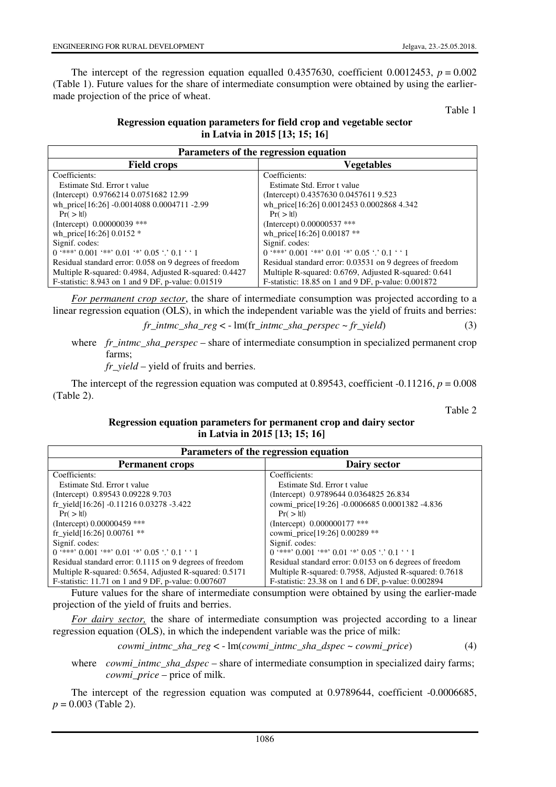The intercept of the regression equation equalled 0.4357630, coefficient 0.0012453,  $p = 0.002$ (Table 1). Future values for the share of intermediate consumption were obtained by using the earliermade projection of the price of wheat.

Table 1

# **Regression equation parameters for field crop and vegetable sector in Latvia in 2015 [13; 15; 16]**

| Parameters of the regression equation                    |                                                          |  |
|----------------------------------------------------------|----------------------------------------------------------|--|
| <b>Field crops</b>                                       | Vegetables                                               |  |
| Coefficients:                                            | Coefficients:                                            |  |
| Estimate Std. Error t value                              | Estimate Std. Error t value                              |  |
| (Intercept) 0.9766214 0.0751682 12.99                    | (Intercept) 0.4357630 0.0457611 9.523                    |  |
| wh_price[16:26] -0.0014088 0.0004711 -2.99               | wh_price[16:26] 0.0012453 0.0002868 4.342                |  |
| $Pr($ >  t )                                             | $Pr($ >  t )                                             |  |
| (Intercept) $0.00000039$ ***                             | (Intercept) 0.00000537 ***                               |  |
| wh_price[16:26] $0.0152$ *                               | wh_price[16:26] 0.00187 **                               |  |
| Signif. codes:                                           | Signif. codes:                                           |  |
| $0$ '***' $0.001$ '**' $0.01$ '*' $0.05$ '.' $0.1$ ' ' 1 | $0$ '***' $0.001$ '**' $0.01$ '*' $0.05$ '.' $0.1$ ' '1  |  |
| Residual standard error: 0.058 on 9 degrees of freedom   | Residual standard error: 0.03531 on 9 degrees of freedom |  |
| Multiple R-squared: 0.4984, Adjusted R-squared: 0.4427   | Multiple R-squared: 0.6769, Adjusted R-squared: 0.641    |  |
| F-statistic: 8.943 on 1 and 9 DF, p-value: 0.01519       | F-statistic: 18.85 on 1 and 9 DF, p-value: 0.001872      |  |

*For permanent crop sector*, the share of intermediate consumption was projected according to a linear regression equation (OLS), in which the independent variable was the yield of fruits and berries:

$$
fr\_intmc\_sha\_reg < -\ln(\text{fr\_intmc\_sha\_perspec} \sim fr\_yield) \tag{3}
$$

where *fr intmc* sha perspec – share of intermediate consumption in specialized permanent crop farms;

*fr\_yield* – yield of fruits and berries.

The intercept of the regression equation was computed at  $0.89543$ , coefficient -0.11216,  $p = 0.008$ (Table 2).

Table 2

#### **Regression equation parameters for permanent crop and dairy sector in Latvia in 2015 [13; 15; 16]**

| Parameters of the regression equation                   |                                                         |  |
|---------------------------------------------------------|---------------------------------------------------------|--|
| <b>Permanent crops</b>                                  | Dairy sector                                            |  |
| Coefficients:                                           | Coefficients:                                           |  |
| Estimate Std. Error t value                             | Estimate Std. Error t value                             |  |
| (Intercept) 0.89543 0.09228 9.703                       | (Intercept) 0.9789644 0.0364825 26.834                  |  |
| fr_yield[16:26] -0.11216 0.03278 -3.422                 | cowmi_price[19:26] -0.0006685 0.0001382 -4.836          |  |
| $Pr($ >  t )                                            | $Pr($ >  t )                                            |  |
| (Intercept) $0.00000459$ ***                            | (Intercept) 0.000000177 ***                             |  |
| fr_yield[16:26] $0.00761$ **                            | cowmi_price[19:26] 0.00289 **                           |  |
| Signif. codes:                                          | Signif. codes:                                          |  |
| $0$ '***' $0.001$ '**' $0.01$ '*' $0.05$ '.' $0.1$ ' '1 | $0$ '***' $0.001$ '**' $0.01$ '*' $0.05$ '.' $0.1$ ' '1 |  |
| Residual standard error: 0.1115 on 9 degrees of freedom | Residual standard error: 0.0153 on 6 degrees of freedom |  |
| Multiple R-squared: 0.5654, Adjusted R-squared: 0.5171  | Multiple R-squared: 0.7958, Adjusted R-squared: 0.7618  |  |
| F-statistic: 11.71 on 1 and 9 DF, p-value: 0.007607     | F-statistic: 23.38 on 1 and 6 DF, p-value: 0.002894     |  |

Future values for the share of intermediate consumption were obtained by using the earlier-made projection of the yield of fruits and berries.

*For dairy sector,* the share of intermediate consumption was projected according to a linear regression equation (OLS), in which the independent variable was the price of milk:

*cowmi\_intmc\_sha\_reg* < - lm(*cowmi\_intmc\_sha\_dspec* ~ *cowmi\_price*) (4)

where *cowmi\_intmc\_sha\_dspec* – share of intermediate consumption in specialized dairy farms; *cowmi\_price* – price of milk.

The intercept of the regression equation was computed at 0.9789644, coefficient -0.0006685, *p* = 0.003 (Table 2).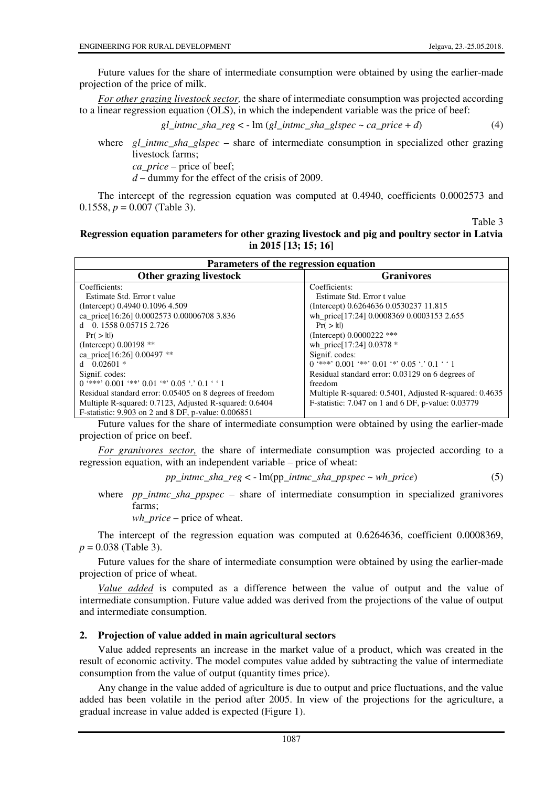Future values for the share of intermediate consumption were obtained by using the earlier-made projection of the price of milk.

*For other grazing livestock sector,* the share of intermediate consumption was projected according to a linear regression equation (OLS), in which the independent variable was the price of beef:

*gl\_intmc\_sha\_reg* < - lm (*gl\_intmc\_sha\_glspec* ~ *ca\_price* + *d*) (4)

where *gl\_intmc\_sha\_glspec* – share of intermediate consumption in specialized other grazing livestock farms;

*ca\_price* – price of beef;

*d* – dummy for the effect of the crisis of 2009.

The intercept of the regression equation was computed at 0.4940, coefficients 0.0002573 and 0.1558,  $p = 0.007$  (Table 3).

Table 3

## **Regression equation parameters for other grazing livestock and pig and poultry sector in Latvia in 2015 [13; 15; 16]**

| Parameters of the regression equation                    |                                                         |  |
|----------------------------------------------------------|---------------------------------------------------------|--|
| Other grazing livestock                                  | <b>Granivores</b>                                       |  |
| Coefficients:                                            | Coefficients:                                           |  |
| Estimate Std. Error t value                              | Estimate Std. Error t value                             |  |
| (Intercept) 0.4940 0.1096 4.509                          | (Intercept) 0.6264636 0.0530237 11.815                  |  |
| ca_price[16:26] 0.0002573 0.00006708 3.836               | wh_price[17:24] 0.0008369 0.0003153 2.655               |  |
| d 0. 1558 0.05715 2.726                                  | $Pr($ >  t )                                            |  |
| $Pr($ >  t )                                             | (Intercept) 0.0000222 ***                               |  |
| (Intercept) 0.00198 **                                   | wh_price[17:24] 0.0378 *                                |  |
| ca_price[16:26] 0.00497 **                               | Signif. codes:                                          |  |
| d $0.02601*$                                             | $0$ '***' $0.001$ '**' $0.01$ '*' $0.05$ '.' $0.1$ ' '1 |  |
| Signif. codes:                                           | Residual standard error: 0.03129 on 6 degrees of        |  |
| $0$ '***' $0.001$ '**' $0.01$ '*' $0.05$ '.' $0.1$ ' '1  | freedom                                                 |  |
| Residual standard error: 0.05405 on 8 degrees of freedom | Multiple R-squared: 0.5401, Adjusted R-squared: 0.4635  |  |
| Multiple R-squared: 0.7123, Adjusted R-squared: 0.6404   | F-statistic: 7.047 on 1 and 6 DF, p-value: 0.03779      |  |
| F-statistic: 9.903 on 2 and 8 DF, p-value: 0.006851      |                                                         |  |

Future values for the share of intermediate consumption were obtained by using the earlier-made projection of price on beef.

*For granivores sector,* the share of intermediate consumption was projected according to a regression equation, with an independent variable – price of wheat:

*pp\_intmc\_sha\_reg* < - lm(pp\_*intmc\_sha\_ppspec* ~ *wh\_price*) (5)

where *pp\_intmc\_sha\_ppspec* – share of intermediate consumption in specialized granivores farms;

*wh\_price* – price of wheat.

The intercept of the regression equation was computed at 0.6264636, coefficient 0.0008369, *p* = 0.038 (Table 3).

Future values for the share of intermediate consumption were obtained by using the earlier-made projection of price of wheat.

*Value added* is computed as a difference between the value of output and the value of intermediate consumption. Future value added was derived from the projections of the value of output and intermediate consumption.

#### **2. Projection of value added in main agricultural sectors**

Value added represents an increase in the market value of a product, which was created in the result of economic activity. The model computes value added by subtracting the value of intermediate consumption from the value of output (quantity times price).

Any change in the value added of agriculture is due to output and price fluctuations, and the value added has been volatile in the period after 2005. In view of the projections for the agriculture, a gradual increase in value added is expected (Figure 1).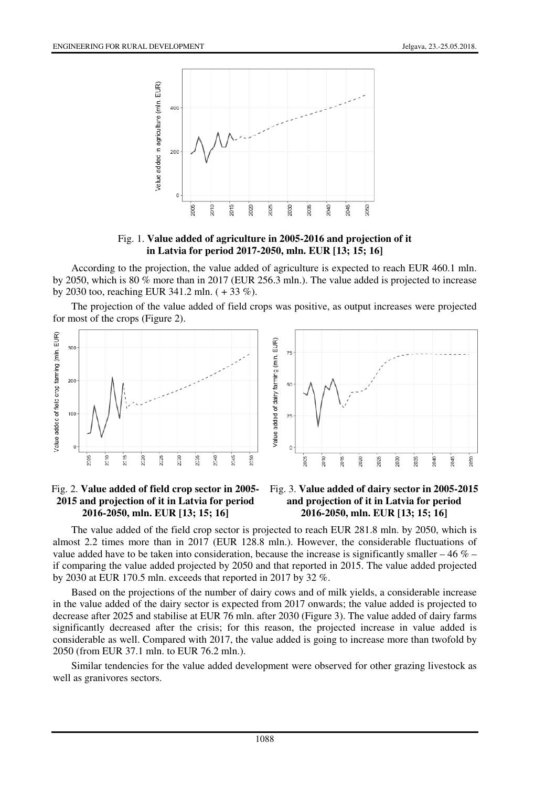

Fig. 1. **Value added of agriculture in 2005-2016 and projection of it in Latvia for period 2017-2050, mln. EUR [13; 15; 16]**

According to the projection, the value added of agriculture is expected to reach EUR 460.1 mln. by 2050, which is 80 % more than in 2017 (EUR 256.3 mln.). The value added is projected to increase by 2030 too, reaching EUR 341.2 mln. ( + 33 %).

The projection of the value added of field crops was positive, as output increases were projected for most of the crops (Figure 2).



#### Fig. 2. **Value added of field crop sector in 2005- 2015 and projection of it in Latvia for period 2016-2050, mln. EUR [13; 15; 16]**



The value added of the field crop sector is projected to reach EUR 281.8 mln. by 2050, which is almost 2.2 times more than in 2017 (EUR 128.8 mln.). However, the considerable fluctuations of value added have to be taken into consideration, because the increase is significantly smaller – 46  $%$  – if comparing the value added projected by 2050 and that reported in 2015. The value added projected by 2030 at EUR 170.5 mln. exceeds that reported in 2017 by 32 %.

Based on the projections of the number of dairy cows and of milk yields, a considerable increase in the value added of the dairy sector is expected from 2017 onwards; the value added is projected to decrease after 2025 and stabilise at EUR 76 mln. after 2030 (Figure 3). The value added of dairy farms significantly decreased after the crisis; for this reason, the projected increase in value added is considerable as well. Compared with 2017, the value added is going to increase more than twofold by 2050 (from EUR 37.1 mln. to EUR 76.2 mln.).

Similar tendencies for the value added development were observed for other grazing livestock as well as granivores sectors.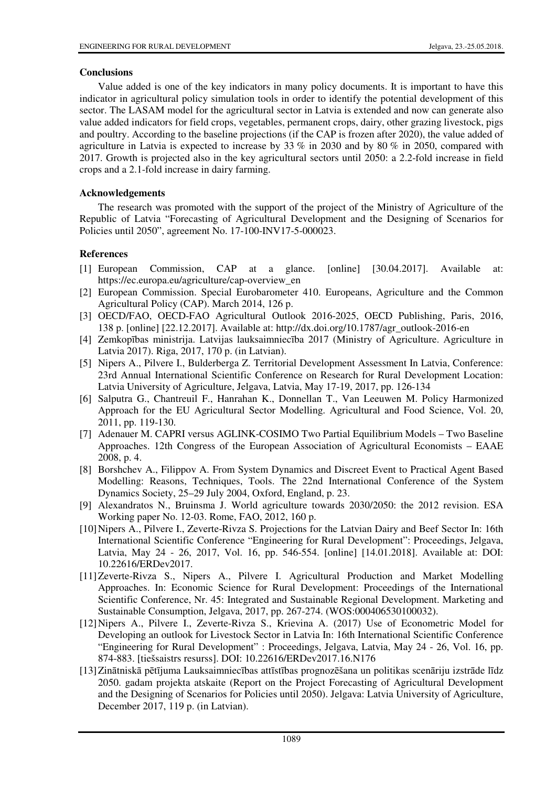## **Conclusions**

Value added is one of the key indicators in many policy documents. It is important to have this indicator in agricultural policy simulation tools in order to identify the potential development of this sector. The LASAM model for the agricultural sector in Latvia is extended and now can generate also value added indicators for field crops, vegetables, permanent crops, dairy, other grazing livestock, pigs and poultry. According to the baseline projections (if the CAP is frozen after 2020), the value added of agriculture in Latvia is expected to increase by 33  $\%$  in 2030 and by 80  $\%$  in 2050, compared with 2017. Growth is projected also in the key agricultural sectors until 2050: a 2.2-fold increase in field crops and a 2.1-fold increase in dairy farming.

# **Acknowledgements**

The research was promoted with the support of the project of the Ministry of Agriculture of the Republic of Latvia "Forecasting of Agricultural Development and the Designing of Scenarios for Policies until 2050", agreement No. 17-100-INV17-5-000023.

# **References**

- [1] European Commission, CAP at a glance. [online] [30.04.2017]. Available at: https://ec.europa.eu/agriculture/cap-overview\_en
- [2] European Commission. Special Eurobarometer 410. Europeans, Agriculture and the Common Agricultural Policy (CAP). March 2014, 126 p.
- [3] OECD/FAO, OECD-FAO Agricultural Outlook 2016-2025, OECD Publishing, Paris, 2016, 138 p. [online] [22.12.2017]. Available at: http://dx.doi.org/10.1787/agr\_outlook-2016-en
- [4] Zemkopības ministrija. Latvijas lauksaimniecība 2017 (Ministry of Agriculture. Agriculture in Latvia 2017). Riga, 2017, 170 p. (in Latvian).
- [5] Nipers A., Pilvere I., Bulderberga Z. Territorial Development Assessment In Latvia, Conference: 23rd Annual International Scientific Conference on Research for Rural Development Location: Latvia University of Agriculture, Jelgava, Latvia, May 17-19, 2017, pp. 126-134
- [6] Salputra G., Chantreuil F., Hanrahan K., Donnellan T., Van Leeuwen M. Policy Harmonized Approach for the EU Agricultural Sector Modelling. Agricultural and Food Science, Vol. 20, 2011, pp. 119-130.
- [7] Adenauer M. CAPRI versus AGLINK-COSIMO Two Partial Equilibrium Models Two Baseline Approaches. 12th Congress of the European Association of Agricultural Economists – EAAE 2008, p. 4.
- [8] Borshchev A., Filippov A. From System Dynamics and Discreet Event to Practical Agent Based Modelling: Reasons, Techniques, Tools. The 22nd International Conference of the System Dynamics Society, 25–29 July 2004, Oxford, England, p. 23.
- [9] Alexandratos N., Bruinsma J. World agriculture towards 2030/2050: the 2012 revision. ESA Working paper No. 12-03. Rome, FAO, 2012, 160 p.
- [10] Nipers A., Pilvere I., Zeverte-Rivza S. Projections for the Latvian Dairy and Beef Sector In: 16th International Scientific Conference "Engineering for Rural Development": Proceedings, Jelgava, Latvia, May 24 - 26, 2017, Vol. 16, pp. 546-554. [online] [14.01.2018]. Available at: DOI: 10.22616/ERDev2017.
- [11] Zeverte-Rivza S., Nipers A., Pilvere I. Agricultural Production and Market Modelling Approaches. In: Economic Science for Rural Development: Proceedings of the International Scientific Conference, Nr. 45: Integrated and Sustainable Regional Development. Marketing and Sustainable Consumption, Jelgava, 2017, pp. 267-274. (WOS:000406530100032).
- [12] Nipers A., Pilvere I., Zeverte-Rivza S., Krievina A. (2017) Use of Econometric Model for Developing an outlook for Livestock Sector in Latvia In: 16th International Scientific Conference "Engineering for Rural Development" : Proceedings, Jelgava, Latvia, May 24 - 26, Vol. 16, pp. 874-883. [tiešsaistrs resurss]. DOI: 10.22616/ERDev2017.16.N176
- [13] Zinātniskā pētījuma Lauksaimniecības attīstības prognozēšana un politikas scenāriju izstrāde līdz 2050. gadam projekta atskaite (Report on the Project Forecasting of Agricultural Development and the Designing of Scenarios for Policies until 2050). Jelgava: Latvia University of Agriculture, December 2017, 119 p. (in Latvian).